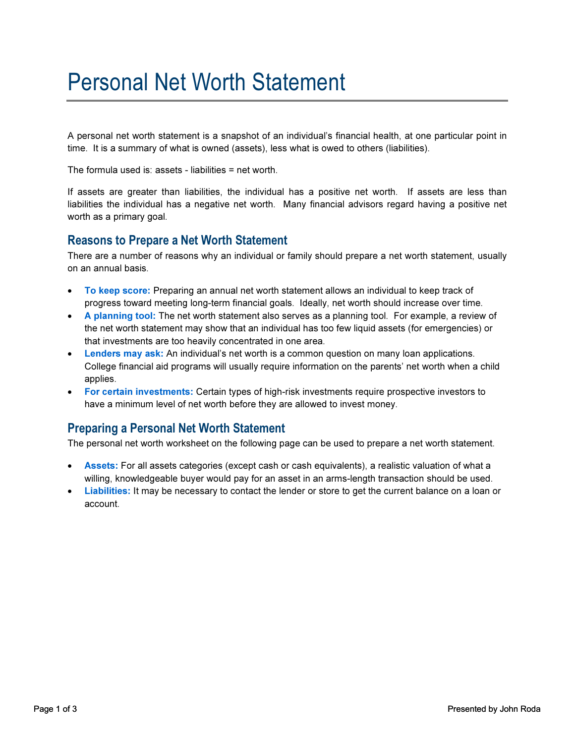## Personal Net Worth Statement

A personal net worth statement is a snapshot of an individual's financial health, at one particular point in time. It is a summary of what is owned (assets), less what is owed to others (liabilities).

The formula used is: assets - liabilities = net worth.

If assets are greater than liabilities, the individual has a positive net worth. If assets are less than liabilities the individual has a negative net worth. Many financial advisors regard having a positive net worth as a primary goal.

#### Reasons to Prepare a Net Worth Statement

There are a number of reasons why an individual or family should prepare a net worth statement, usually on an annual basis.

- To keep score: Preparing an annual net worth statement allows an individual to keep track of progress toward meeting long-term financial goals. Ideally, net worth should increase over time.
- A planning tool: The net worth statement also serves as a planning tool. For example, a review of the net worth statement may show that an individual has too few liquid assets (for emergencies) or that investments are too heavily concentrated in one area.
- Lenders may ask: An individual's net worth is a common question on many loan applications. College financial aid programs will usually require information on the parents' net worth when a child applies.
- For certain investments: Certain types of high-risk investments require prospective investors to have a minimum level of net worth before they are allowed to invest money.

#### Preparing a Personal Net Worth Statement

The personal net worth worksheet on the following page can be used to prepare a net worth statement.

- Assets: For all assets categories (except cash or cash equivalents), a realistic valuation of what a willing, knowledgeable buyer would pay for an asset in an arms-length transaction should be used.
- **Liabilities:** It may be necessary to contact the lender or store to get the current balance on a loan or account.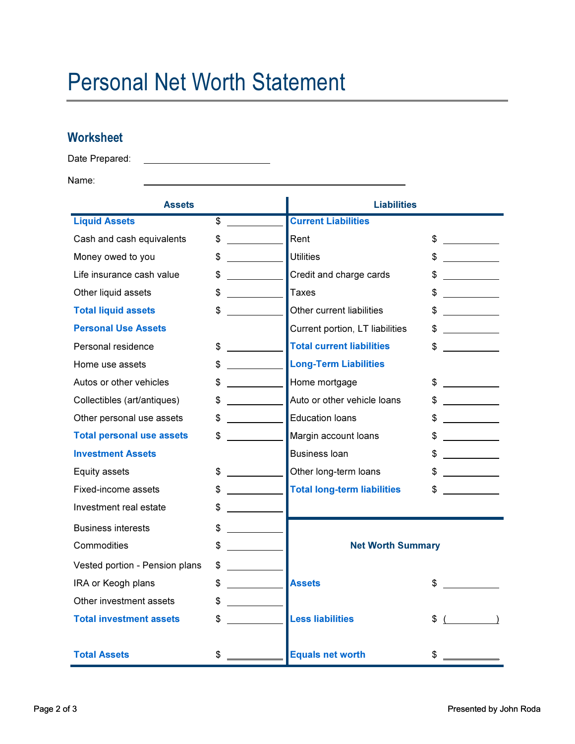# Personal Net Worth Statement

### **Worksheet**

Date Prepared:

Name:

| <b>Assets</b>                    |                                  | <b>Liabilities</b>                 |                                |
|----------------------------------|----------------------------------|------------------------------------|--------------------------------|
| <b>Liquid Assets</b>             | \$                               | <b>Current Liabilities</b>         |                                |
| Cash and cash equivalents        | \$<br><u> 1999 - Jan Barnett</u> | Rent                               | \$                             |
| Money owed to you                | \$                               | <b>Utilities</b>                   | \$                             |
| Life insurance cash value        | \$                               | Credit and charge cards            |                                |
| Other liquid assets              | \$                               | <b>Taxes</b>                       |                                |
| <b>Total liquid assets</b>       | \$                               | Other current liabilities          | S                              |
| <b>Personal Use Assets</b>       |                                  | Current portion, LT liabilities    |                                |
| Personal residence               | \$                               | <b>Total current liabilities</b>   | \$                             |
| Home use assets                  | \$                               | <b>Long-Term Liabilities</b>       |                                |
| Autos or other vehicles          | \$                               | Home mortgage                      | \$                             |
| Collectibles (art/antiques)      | \$                               | Auto or other vehicle loans        |                                |
| Other personal use assets        | \$                               | <b>Education loans</b>             | S                              |
| <b>Total personal use assets</b> | \$                               | Margin account loans               | \$                             |
| <b>Investment Assets</b>         |                                  | <b>Business loan</b>               | S                              |
| Equity assets                    | \$                               | Other long-term loans              | S                              |
| Fixed-income assets              | \$                               | <b>Total long-term liabilities</b> |                                |
| Investment real estate           | \$                               |                                    |                                |
| <b>Business interests</b>        | \$                               |                                    |                                |
| Commodities                      | \$                               | <b>Net Worth Summary</b>           |                                |
| Vested portion - Pension plans   | \$                               |                                    |                                |
| IRA or Keogh plans               | \$                               | <b>Assets</b>                      | \$                             |
| Other investment assets          | \$<br><u>and a strong</u>        |                                    |                                |
| <b>Total investment assets</b>   | \$                               | <b>Less liabilities</b>            | $\overline{\phantom{a}}$<br>\$ |
|                                  |                                  |                                    |                                |
| <b>Total Assets</b>              | \$                               | <b>Equals net worth</b>            |                                |